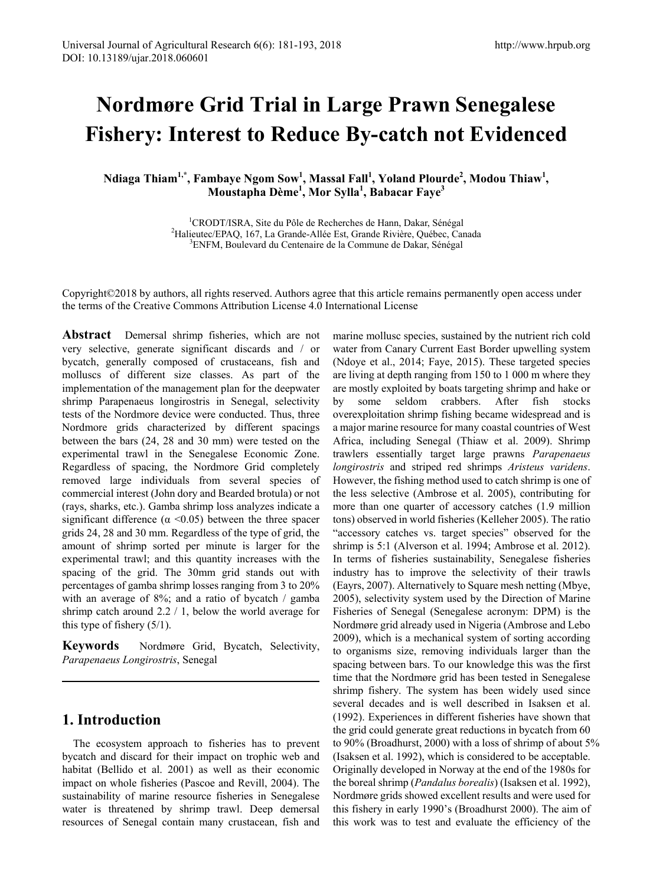# **Nordmøre Grid Trial in Large Prawn Senegalese Fishery: Interest to Reduce By-catch not Evidenced**

Ndiaga Thiam<sup>1,\*</sup>, Fambaye Ngom Sow<sup>1</sup>, Massal Fall<sup>1</sup>, Yoland Plourde<sup>2</sup>, Modou Thiaw<sup>1</sup>, **Moustapha Dème1 , Mor Sylla1 , Babacar Faye3**

> <sup>1</sup>CRODT/ISRA, Site du Pôle de Recherches de Hann, Dakar, Sénégal<br><sup>2</sup>Halientec/EPAO, 167, La Grande-Allée Est, Grande Rivière, Québec, Ca <sup>2</sup>Halieutec/EPAQ, 167, La Grande-Allée Est, Grande Rivière, Québec, Canada <sup>3</sup>ENFM, Boulevard du Centenaire de la Commune de Dakar, Sénégal

Copyright©2018 by authors, all rights reserved. Authors agree that this article remains permanently open access under the terms of the Creative Commons Attribution License 4.0 International License

**Abstract** Demersal shrimp fisheries, which are not very selective, generate significant discards and / or bycatch, generally composed of crustaceans, fish and molluscs of different size classes. As part of the implementation of the management plan for the deepwater shrimp Parapenaeus longirostris in Senegal, selectivity tests of the Nordmore device were conducted. Thus, three Nordmore grids characterized by different spacings between the bars (24, 28 and 30 mm) were tested on the experimental trawl in the Senegalese Economic Zone. Regardless of spacing, the Nordmore Grid completely removed large individuals from several species of commercial interest (John dory and Bearded brotula) or not (rays, sharks, etc.). Gamba shrimp loss analyzes indicate a significant difference ( $\alpha$  <0.05) between the three spacer grids 24, 28 and 30 mm. Regardless of the type of grid, the amount of shrimp sorted per minute is larger for the experimental trawl; and this quantity increases with the spacing of the grid. The 30mm grid stands out with percentages of gamba shrimp losses ranging from 3 to 20% with an average of 8%; and a ratio of bycatch / gamba shrimp catch around 2.2 / 1, below the world average for this type of fishery  $(5/1)$ .

**Keywords** Nordmøre Grid, Bycatch, Selectivity, *Parapenaeus Longirostris*, Senegal

# **1. Introduction**

The ecosystem approach to fisheries has to prevent bycatch and discard for their impact on trophic web and habitat (Bellido et al. 2001) as well as their economic impact on whole fisheries (Pascoe and Revill, 2004). The sustainability of marine resource fisheries in Senegalese water is threatened by shrimp trawl. Deep demersal resources of Senegal contain many crustacean, fish and

marine mollusc species, sustained by the nutrient rich cold water from Canary Current East Border upwelling system (Ndoye et al., 2014; Faye, 2015). These targeted species are living at depth ranging from 150 to 1 000 m where they are mostly exploited by boats targeting shrimp and hake or by some seldom crabbers. After fish stocks overexploitation shrimp fishing became widespread and is a major marine resource for many coastal countries of West Africa, including Senegal (Thiaw et al. 2009). Shrimp trawlers essentially target large prawns *Parapenaeus longirostris* and striped red shrimps *Aristeus varidens*. However, the fishing method used to catch shrimp is one of the less selective (Ambrose et al. 2005), contributing for more than one quarter of accessory catches (1.9 million tons) observed in world fisheries (Kelleher 2005). The ratio "accessory catches vs. target species" observed for the shrimp is 5:1 (Alverson et al. 1994; Ambrose et al. 2012). In terms of fisheries sustainability, Senegalese fisheries industry has to improve the selectivity of their trawls (Eayrs, 2007). Alternatively to Square mesh netting (Mbye, 2005), selectivity system used by the Direction of Marine Fisheries of Senegal (Senegalese acronym: DPM) is the Nordmøre grid already used in Nigeria (Ambrose and Lebo 2009), which is a mechanical system of sorting according to organisms size, removing individuals larger than the spacing between bars. To our knowledge this was the first time that the Nordmøre grid has been tested in Senegalese shrimp fishery. The system has been widely used since several decades and is well described in Isaksen et al. (1992). Experiences in different fisheries have shown that the grid could generate great reductions in bycatch from 60 to 90% (Broadhurst, 2000) with a loss of shrimp of about 5% (Isaksen et al. 1992), which is considered to be acceptable. Originally developed in Norway at the end of the 1980s for the boreal shrimp (*Pandalus borealis*) (Isaksen et al. 1992), Nordmøre grids showed excellent results and were used for this fishery in early 1990's (Broadhurst 2000). The aim of this work was to test and evaluate the efficiency of the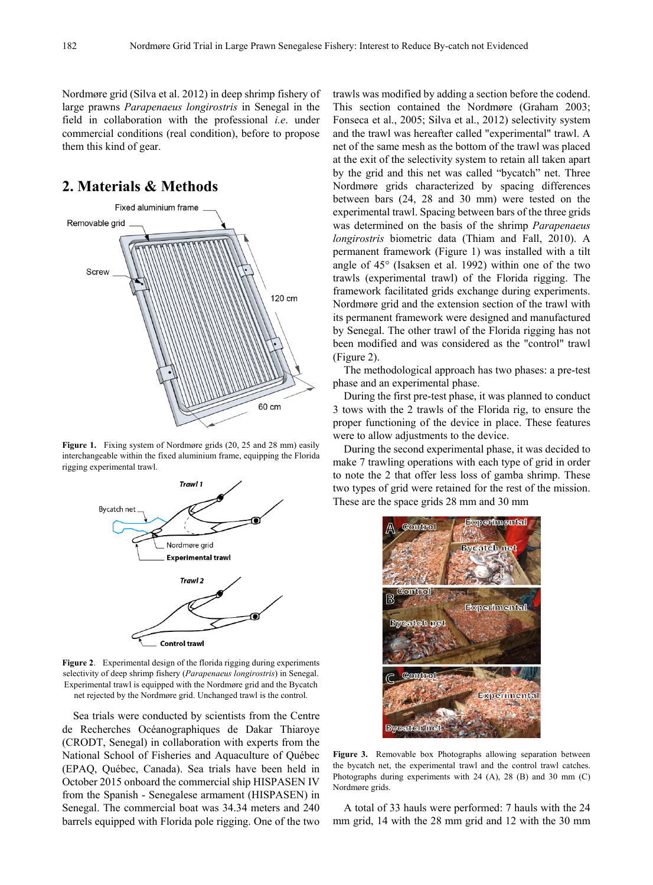Nordmøre grid (Silva et al. 2012) in deep shrimp fishery of large prawns *Parapenaeus longirostris* in Senegal in the field in collaboration with the professional *i.e*. under commercial conditions (real condition), before to propose them this kind of gear.

# **2. Materials & Methods**



**Figure 1.** Fixing system of Nordmøre grids (20, 25 and 28 mm) easily interchangeable within the fixed aluminium frame, equipping the Florida rigging experimental trawl.



**Figure 2**. Experimental design of the florida rigging during experiments selectivity of deep shrimp fishery (*Parapenaeus longirostris*) in Senegal. Experimental trawl is equipped with the Nordmøre grid and the Bycatch net rejected by the Nordmøre grid. Unchanged trawl is the control.

Sea trials were conducted by scientists from the Centre de Recherches Océanographiques de Dakar Thiaroye (CRODT, Senegal) in collaboration with experts from the National School of Fisheries and Aquaculture of Québec (EPAQ, Québec, Canada). Sea trials have been held in October 2015 onboard the commercial ship HISPASEN IV from the Spanish - Senegalese armament (HISPASEN) in Senegal. The commercial boat was 34.34 meters and 240 barrels equipped with Florida pole rigging. One of the two

trawls was modified by adding a section before the codend. This section contained the Nordmøre (Graham 2003; Fonseca et al., 2005; Silva et al., 2012) selectivity system and the trawl was hereafter called "experimental" trawl. A net of the same mesh as the bottom of the trawl was placed at the exit of the selectivity system to retain all taken apart by the grid and this net was called "bycatch" net. Three Nordmøre grids characterized by spacing differences between bars (24, 28 and 30 mm) were tested on the experimental trawl. Spacing between bars of the three grids was determined on the basis of the shrimp *Parapenaeus longirostris* biometric data (Thiam and Fall, 2010). A permanent framework (Figure 1) was installed with a tilt angle of 45° (Isaksen et al. 1992) within one of the two trawls (experimental trawl) of the Florida rigging. The framework facilitated grids exchange during experiments. Nordmøre grid and the extension section of the trawl with its permanent framework were designed and manufactured by Senegal. The other trawl of the Florida rigging has not been modified and was considered as the "control" trawl (Figure 2).

The methodological approach has two phases: a pre-test phase and an experimental phase.

During the first pre-test phase, it was planned to conduct 3 tows with the 2 trawls of the Florida rig, to ensure the proper functioning of the device in place. These features were to allow adjustments to the device.

During the second experimental phase, it was decided to make 7 trawling operations with each type of grid in order to note the 2 that offer less loss of gamba shrimp. These two types of grid were retained for the rest of the mission. These are the space grids 28 mm and 30 mm



**Figure 3.** Removable box Photographs allowing separation between the bycatch net, the experimental trawl and the control trawl catches. Photographs during experiments with 24 (A), 28 (B) and 30 mm (C) Nordmøre grids.

A total of 33 hauls were performed: 7 hauls with the 24 mm grid, 14 with the 28 mm grid and 12 with the 30 mm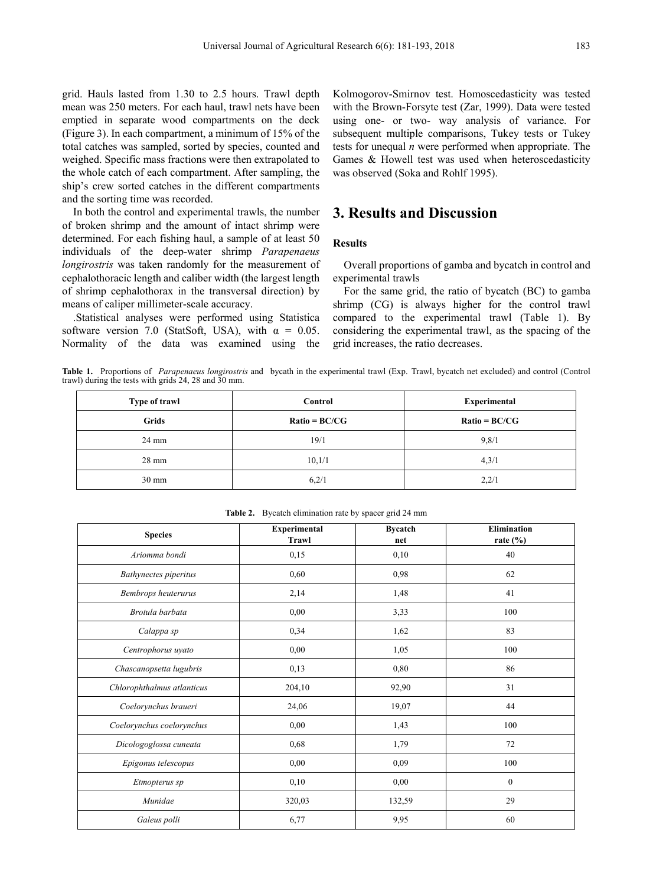grid. Hauls lasted from 1.30 to 2.5 hours. Trawl depth mean was 250 meters. For each haul, trawl nets have been emptied in separate wood compartments on the deck (Figure 3). In each compartment, a minimum of 15% of the total catches was sampled, sorted by species, counted and weighed. Specific mass fractions were then extrapolated to the whole catch of each compartment. After sampling, the ship's crew sorted catches in the different compartments and the sorting time was recorded.

In both the control and experimental trawls, the number of broken shrimp and the amount of intact shrimp were determined. For each fishing haul, a sample of at least 50 individuals of the deep-water shrimp *Parapenaeus longirostris* was taken randomly for the measurement of cephalothoracic length and caliber width (the largest length of shrimp cephalothorax in the transversal direction) by means of caliper millimeter-scale accuracy.

.Statistical analyses were performed using Statistica software version 7.0 (StatSoft, USA), with  $\alpha = 0.05$ . Normality of the data was examined using the Kolmogorov-Smirnov test. Homoscedasticity was tested with the Brown-Forsyte test (Zar, 1999). Data were tested using one- or two- way analysis of variance. For subsequent multiple comparisons, Tukey tests or Tukey tests for unequal *n* were performed when appropriate. The Games & Howell test was used when heteroscedasticity was observed (Soka and Rohlf 1995).

## **3. Results and Discussion**

#### **Results**

Overall proportions of gamba and bycatch in control and experimental trawls

For the same grid, the ratio of bycatch (BC) to gamba shrimp (CG) is always higher for the control trawl compared to the experimental trawl (Table 1). By considering the experimental trawl, as the spacing of the grid increases, the ratio decreases.

**Table 1.** Proportions of *Parapenaeus longirostris* and bycath in the experimental trawl (Exp. Trawl, bycatch net excluded) and control (Control trawl) during the tests with grids 24, 28 and 30 mm.

| Type of trawl   | Control         | Experimental    |  |
|-----------------|-----------------|-----------------|--|
| <b>Grids</b>    | $Ratio = BC/CG$ | $Ratio = BC/CG$ |  |
| $24 \text{ mm}$ | 19/1            | 9,8/1           |  |
| 28 mm           | 10,1/1          | 4,3/1           |  |
| $30 \text{ mm}$ | 6,2/1           | 2,2/1           |  |

**Species Experimental Trawl Bycatch net Elimination rate (%)** *Ariomma bondi* 0,15 0,10 40 *Bathynectes piperitus*  $0,60$  0,98 62 *Bembrops heuterurus* 1,48 41 *Brotula barbata* 100 100 0,00 3,33 100 *Calappa sp* 6,34 1,62 83 *Centrophorus uyato* 100 0,00 1,05 100 *Chascanopsetta lugubris*  $0,13$  0,80 86 *Chlorophthalmus atlanticus* 204,10 92,90 31 *Coelorynchus braueri* 24,06 19,07 44 *Coelorynchus coelorynchus* 0,00 1,43 100 *Dicologoglossa cuneata* 0,68 1,79 1 72 *Epigonus telescopus* 0,00 0,09 100 *Etmopterus sp* 0,10 0,00 0 *Munidae* 1320,03 132,59 29 *Galeus polli* 6,77 9,95 60

**Table 2.** Bycatch elimination rate by spacer grid 24 mm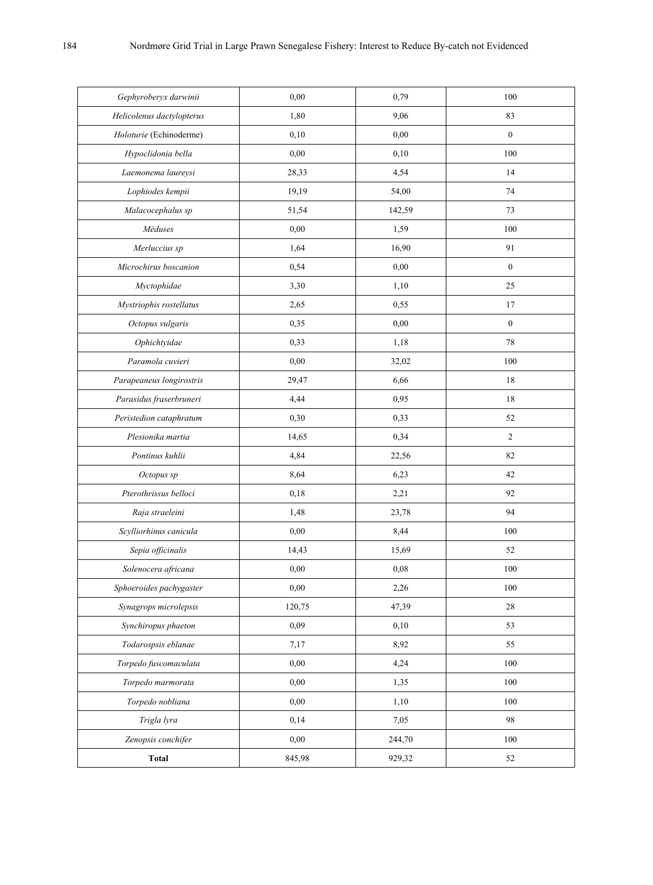| Gephyroberyx darwinii     | 0,00   | 0,79   | 100              |
|---------------------------|--------|--------|------------------|
| Helicolenus dactylopterus | 1,80   | 9,06   | 83               |
| Holoturie (Echinoderme)   | 0,10   | 0,00   | $\boldsymbol{0}$ |
| Hypoclidonia bella        | 0,00   | 0,10   | 100              |
| Laemonema laureysi        | 28,33  | 4,54   | 14               |
| Lophiodes kempii          | 19,19  | 54,00  | 74               |
| Malacocephalus sp         | 51,54  | 142,59 | 73               |
| Méduses                   | 0,00   | 1,59   | 100              |
| Merluccius sp             | 1,64   | 16,90  | 91               |
| Microchirus boscanion     | 0,54   | 0,00   | $\boldsymbol{0}$ |
| Myctophidae               | 3,30   | 1,10   | 25               |
| Mystriophis rostellatus   | 2,65   | 0,55   | 17               |
| Octopus vulgaris          | 0,35   | 0,00   | $\boldsymbol{0}$ |
| Ophichtyidae              | 0,33   | 1,18   | 78               |
| Paramola cuvieri          | 0,00   | 32,02  | 100              |
| Parapeaneus longirostris  | 29,47  | 6,66   | 18               |
| Parasidus fraserbruneri   | 4,44   | 0,95   | 18               |
| Peristedion cataphratum   | 0,30   | 0,33   | 52               |
| Plesionika martia         | 14,65  | 0,34   | $\overline{c}$   |
| Pontinus kuhlii           | 4,84   | 22,56  | 82               |
| Octopus sp                | 8,64   | 6,23   | 42               |
| Pterothrissus belloci     | 0,18   | 2,21   | 92               |
| Raja straeleini           | 1,48   | 23,78  | 94               |
| Scylliorhinus canicula    | 0,00   | 8,44   | 100              |
| Sepia officinalis         | 14,43  | 15,69  | 52               |
| Solenocera africana       | 0,00   | 0,08   | 100              |
| Sphoeroides pachygaster   | 0,00   | 2,26   | 100              |
| Synagrops microlepsis     | 120,75 | 47,39  | $28\,$           |
| Synchiropus phaeton       | 0,09   | 0,10   | 53               |
| Todarospsis eblanae       | 7,17   | 8,92   | 55               |
| Torpedo fuscomaculata     | 0,00   | 4,24   | 100              |
| Torpedo marmorata         | 0,00   | 1,35   | 100              |
| Torpedo nobliana          | 0,00   | 1,10   | 100              |
| Trigla lyra               | 0,14   | 7,05   | 98               |
| Zenopsis conchifer        | 0,00   | 244,70 | 100              |
| <b>Total</b>              | 845,98 | 929,32 | 52               |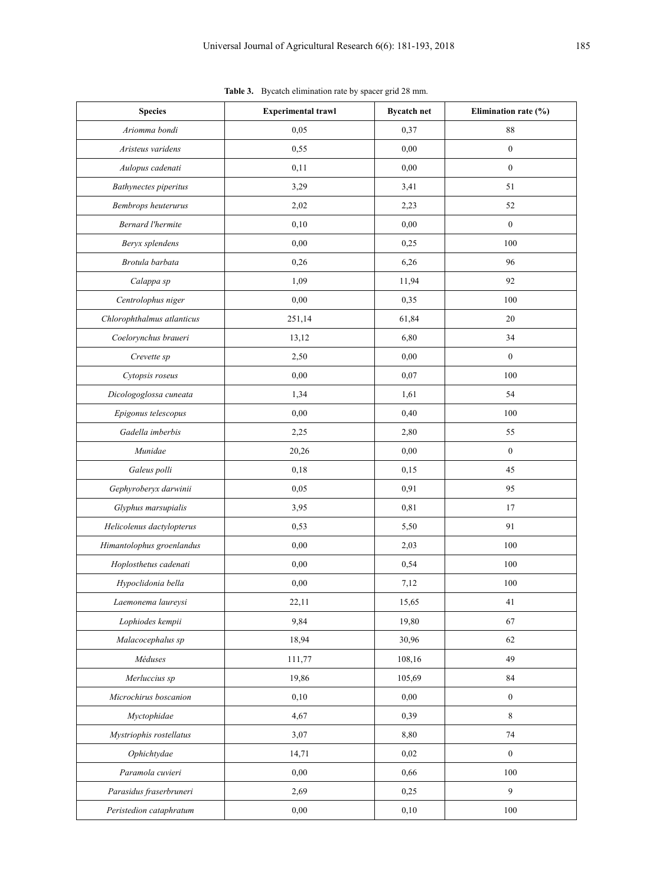**Table 3.** Bycatch elimination rate by spacer grid 28 mm.

| <b>Species</b>               | <b>Experimental trawl</b> | <b>Bycatch net</b><br>Elimination rate (%) |                  |  |
|------------------------------|---------------------------|--------------------------------------------|------------------|--|
| Ariomma bondi                | 0,05                      | 0,37                                       | 88               |  |
| Aristeus varidens            | 0,55                      | 0,00                                       | $\boldsymbol{0}$ |  |
| Aulopus cadenati             | 0,11                      | 0,00                                       | $\boldsymbol{0}$ |  |
| <b>Bathynectes</b> piperitus | 3,29                      | 3,41                                       | 51               |  |
| Bembrops heuterurus          | 2,02                      | 2,23                                       | 52               |  |
| <b>Bernard l'hermite</b>     | 0,10                      | 0,00                                       | $\boldsymbol{0}$ |  |
| Beryx splendens              | 0,00                      | 0,25                                       | 100              |  |
| Brotula barbata              | 0,26                      | 6,26                                       | 96               |  |
| Calappa sp                   | 1,09                      | 11,94                                      | 92               |  |
| Centrolophus niger           | 0,00                      | 0,35                                       | 100              |  |
| Chlorophthalmus atlanticus   | 251,14                    | 61,84                                      | 20               |  |
| Coelorynchus braueri         | 13,12                     | 6,80                                       | 34               |  |
| Crevette sp                  | 2,50                      | 0,00                                       | $\boldsymbol{0}$ |  |
| Cytopsis roseus              | 0,00                      | 0,07                                       | 100              |  |
| Dicologoglossa cuneata       | 1,34                      | 1,61                                       | 54               |  |
| Epigonus telescopus          | 0,00                      | 0,40                                       | 100              |  |
| Gadella imberbis             | 2,25                      | 2,80                                       | 55               |  |
| Munidae                      | 20,26                     | 0,00                                       | $\boldsymbol{0}$ |  |
| Galeus polli                 | 0,18                      | 0,15                                       | 45               |  |
| Gephyroberyx darwinii        | 0,05                      | 0,91                                       | 95               |  |
| Glyphus marsupialis          | 3,95                      | 0,81                                       | 17               |  |
| Helicolenus dactylopterus    | 0,53                      | 5,50                                       | 91               |  |
| Himantolophus groenlandus    | 0,00                      | 2,03                                       | 100              |  |
| Hoplosthetus cadenati        | 0,00                      | 0,54                                       | 100              |  |
| Hypoclidonia bella           | 0,00                      | 7,12                                       | $100\,$          |  |
| Laemonema laureysi           | 22,11                     | 15,65                                      | 41               |  |
| Lophiodes kempii             | 9,84                      | 19,80                                      | 67               |  |
| Malacocephalus sp            | 18,94                     | 30,96                                      | 62               |  |
| Méduses                      | 111,77                    | 108,16                                     | 49               |  |
| Merluccius sp                | 19,86                     | 105,69                                     | 84               |  |
| Microchirus boscanion        | 0,10                      | 0,00                                       | $\boldsymbol{0}$ |  |
| Myctophidae                  | 4,67                      | 0,39                                       | $\,8\,$          |  |
| Mystriophis rostellatus      | 3,07                      | 8,80                                       | 74               |  |
| Ophichtydae                  | 14,71                     | 0,02                                       | $\boldsymbol{0}$ |  |
| Paramola cuvieri             | 0,00                      | 0,66                                       | $100\,$          |  |
| Parasidus fraserbruneri      | 2,69                      | 0,25                                       | 9                |  |
| Peristedion cataphratum      | 0,00                      | 0,10                                       | 100              |  |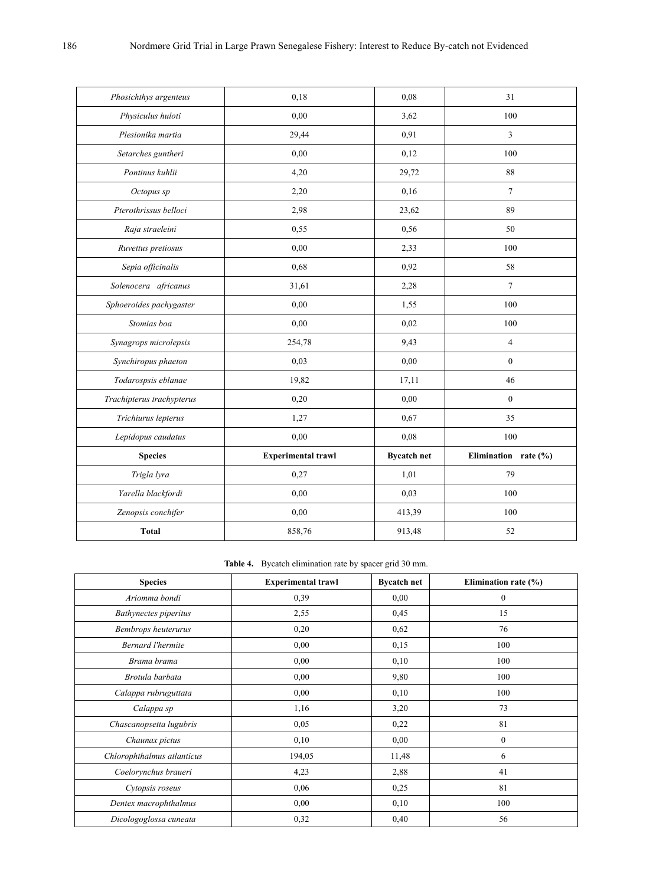| Phosichthys argenteus     | 0,18                      | 0,08               | 31                       |  |
|---------------------------|---------------------------|--------------------|--------------------------|--|
| Physiculus huloti         | 0,00                      | 3,62               | 100                      |  |
| Plesionika martia         | 29,44                     | 0,91               | 3                        |  |
| Setarches guntheri        | 0,00                      | 0,12               | 100                      |  |
| Pontinus kuhlii           | 4,20                      | 29,72              | 88                       |  |
| Octopus sp                | 2,20                      | 0,16               | $\tau$                   |  |
| Pterothrissus belloci     | 2,98                      | 23,62              | 89                       |  |
| Raja straeleini           | 0,55                      | 0,56               | 50                       |  |
| Ruvettus pretiosus        | 0,00                      | 2,33               | 100                      |  |
| Sepia officinalis         | 0,68                      | 0,92               | 58                       |  |
| Solenocera africanus      | 31,61                     | 2,28               | $\tau$                   |  |
| Sphoeroides pachygaster   | 0,00                      | 1,55               | 100                      |  |
| Stomias boa               | 0,00                      | 0,02               | 100                      |  |
| Synagrops microlepsis     | 254,78                    | 9,43               | $\overline{4}$           |  |
| Synchiropus phaeton       | 0.03                      | 0,00               | $\overline{0}$           |  |
| Todarospsis eblanae       | 19,82                     | 17,11              | 46                       |  |
| Trachipterus trachypterus | 0,20                      | 0,00               | $\overline{0}$           |  |
| Trichiurus lepterus       | 1,27                      | 0,67               | 35                       |  |
| Lepidopus caudatus        | 0,00                      | 0.08               | 100                      |  |
| <b>Species</b>            | <b>Experimental trawl</b> | <b>Bycatch net</b> | Elimination rate $(\% )$ |  |
| Trigla lyra               | 0,27                      | 1,01               | 79                       |  |
| Yarella blackfordi        | 0.00                      | 0,03               | 100                      |  |
| Zenopsis conchifer        | 0,00                      | 413,39             | 100                      |  |
| <b>Total</b>              | 858,76                    | 913,48             | 52                       |  |
|                           |                           |                    |                          |  |

#### **Table 4.** Bycatch elimination rate by spacer grid 30 mm.

| <b>Species</b>             | <b>Experimental trawl</b> | <b>Bycatch net</b> | Elimination rate (%) |  |
|----------------------------|---------------------------|--------------------|----------------------|--|
| Ariomma bondi              | 0,39                      | 0,00               | $\boldsymbol{0}$     |  |
| Bathynectes piperitus      | 2,55                      | 0,45               | 15                   |  |
| Bembrops heuterurus        | 0,20                      | 0,62               | 76                   |  |
| <b>Bernard l'hermite</b>   | 0,00                      | 0,15               | 100                  |  |
| Brama brama                | 0,00                      | 0,10               | 100                  |  |
| Brotula barbata            | 0,00                      | 9,80               | 100                  |  |
| Calappa rubruguttata       | 0,00                      | 0,10               | 100                  |  |
| Calappa sp                 | 1,16                      | 3,20               | 73                   |  |
| Chascanopsetta lugubris    | 0,05                      | 0,22               | 81                   |  |
| Chaunax pictus             | 0,10                      | 0,00               | $\boldsymbol{0}$     |  |
| Chlorophthalmus atlanticus | 194,05                    | 11,48              | 6                    |  |
| Coelorynchus braueri       | 4,23                      | 2,88               | 41                   |  |
| Cytopsis roseus            | 0,06                      | 0,25               | 81                   |  |
| Dentex macrophthalmus      | 0,00                      | 0,10               | 100                  |  |
| Dicologoglossa cuneata     | 0,32                      | 0,40               | 56                   |  |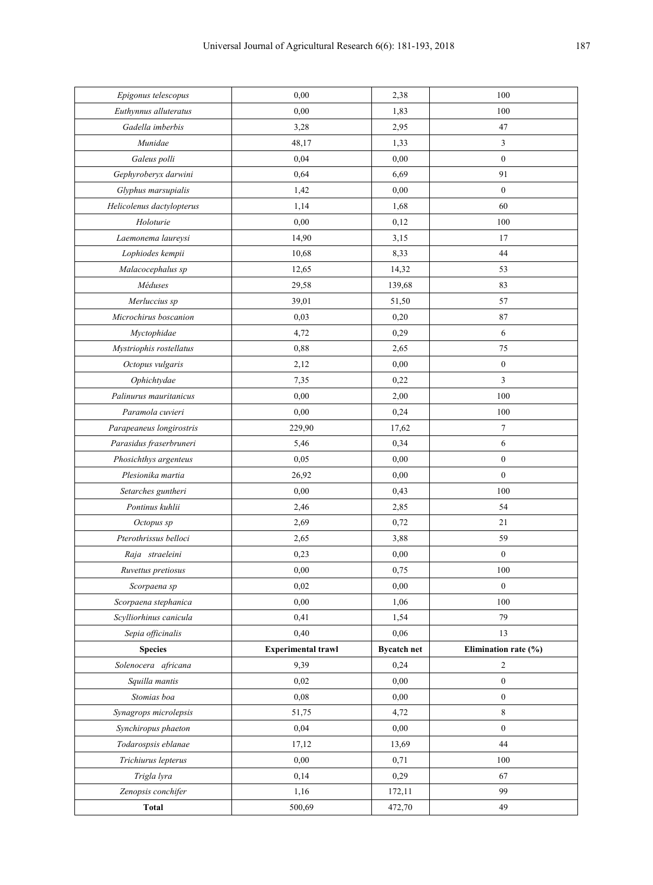| Epigonus telescopus       | 0,00                      | 2,38               | 100                  |
|---------------------------|---------------------------|--------------------|----------------------|
| Euthynnus alluteratus     | 0,00                      | 1,83               | 100                  |
| Gadella imberbis          | 3,28                      | 2,95               | 47                   |
| Munidae                   | 48,17                     | 1,33               | 3                    |
| Galeus polli              | 0,04                      | 0,00               | $\overline{0}$       |
| Gephyroberyx darwini      | 0,64                      | 6,69               | 91                   |
| Glyphus marsupialis       | 1,42                      | 0,00               | $\boldsymbol{0}$     |
| Helicolenus dactylopterus | 1,14                      | 1,68               | 60                   |
| Holoturie                 | 0,00                      | 0,12               | 100                  |
| Laemonema laureysi        | 14,90                     | 3,15               | 17                   |
| Lophiodes kempii          | 10,68                     | 8,33               | 44                   |
| Malacocephalus sp         | 12,65                     | 14,32              | 53                   |
| Méduses                   | 29,58                     | 139,68             | 83                   |
| Merluccius sp             | 39,01                     | 51,50              | 57                   |
| Microchirus boscanion     | 0,03                      | 0,20               | 87                   |
| Myctophidae               | 4,72                      | 0,29               | 6                    |
| Mystriophis rostellatus   | 0,88                      | 2,65               | 75                   |
| Octopus vulgaris          | 2,12                      | 0,00               | $\boldsymbol{0}$     |
| Ophichtydae               | 7,35                      | 0,22               | 3                    |
| Palinurus mauritanicus    | 0,00                      | 2,00               | 100                  |
| Paramola cuvieri          | 0,00                      | 0,24               | 100                  |
| Parapeaneus longirostris  | 229,90                    | 17,62              | 7                    |
| Parasidus fraserbruneri   | 5,46                      | 0,34               | 6                    |
| Phosichthys argenteus     | 0,05                      | 0,00               | $\boldsymbol{0}$     |
| Plesionika martia         | 26,92                     | 0,00               | $\overline{0}$       |
| Setarches guntheri        | 0,00                      | 0,43               | 100                  |
| Pontinus kuhlii           | 2,46                      | 2,85               | 54                   |
| Octopus sp                | 2,69                      | 0,72               | 21                   |
| Pterothrissus belloci     | 2,65                      | 3,88               | 59                   |
| Raja straeleini           | 0,23                      | 0,00               | $\boldsymbol{0}$     |
| Ruvettus pretiosus        | 0,00                      | 0,75               | 100                  |
| Scorpaena sp              | 0,02                      | 0,00               | $\boldsymbol{0}$     |
| Scorpaena stephanica      | 0,00                      | 1,06               | 100                  |
| Scylliorhinus canicula    | 0,41                      | 1,54               | 79                   |
| Sepia officinalis         | 0,40                      | 0,06               | 13                   |
| <b>Species</b>            | <b>Experimental trawl</b> | <b>Bycatch net</b> | Elimination rate (%) |
| Solenocera africana       | 9,39                      | 0,24               | $\overline{c}$       |
| Squilla mantis            | 0,02                      | 0,00               | $\boldsymbol{0}$     |
| Stomias boa               | 0,08                      | 0,00               | $\boldsymbol{0}$     |
| Synagrops microlepsis     | 51,75                     | 4,72               | $\,8\,$              |
| Synchiropus phaeton       | 0,04                      | 0,00               | $\mathbf{0}$         |
| Todarospsis eblanae       | 17,12                     | 13,69              | 44                   |
| Trichiurus lepterus       | 0,00                      | 0,71               | 100                  |
| Trigla lyra               | 0,14                      | 0,29               | 67                   |
| Zenopsis conchifer        | 1,16                      | 172,11             | 99                   |
| <b>Total</b>              | 500,69                    | 472,70             | 49                   |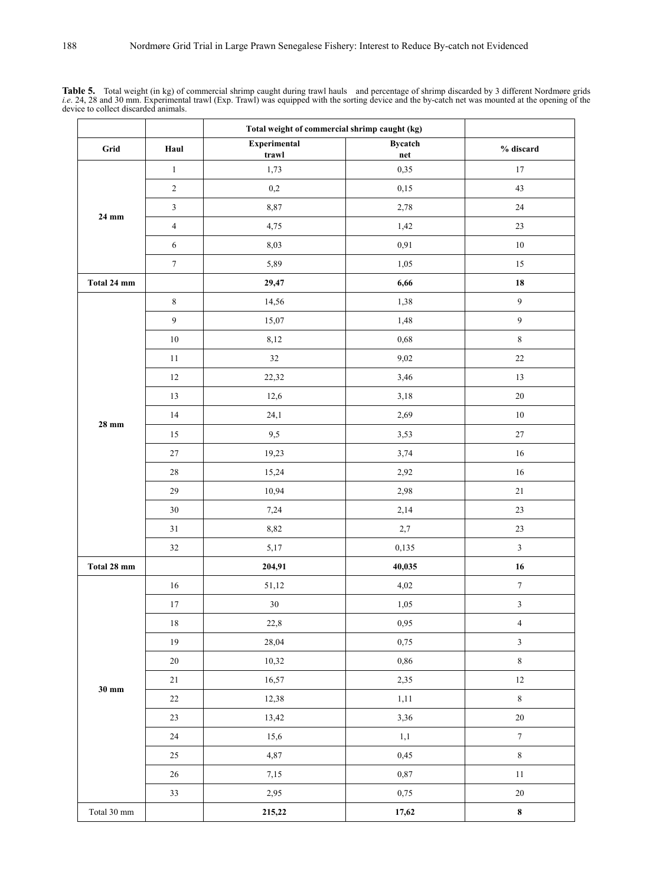**Table 5.** Total weight (in kg) of commercial shrimp caught during trawl hauls and percentage of shrimp discarded by 3 different Nordmøre grids *i.e.* 24, 28 and 30 mm. Experimental trawl (Exp. Trawl) was equipped with the device to collect discarded animals.

|                      |                  | Total weight of commercial shrimp caught (kg) |                                |                  |
|----------------------|------------------|-----------------------------------------------|--------------------------------|------------------|
| Grid                 | Haul             | Experimental<br>trawl                         | <b>Bycatch</b><br>$_{\rm net}$ | % discard        |
|                      | $\,1\,$          | 1,73                                          | 0,35                           | $17\,$           |
|                      | $\sqrt{2}$       | 0,2                                           | 0,15                           | 43               |
|                      | $\mathfrak{Z}$   | 8,87                                          | 2,78                           | $24\,$           |
| 24 mm                | $\overline{4}$   | 4,75                                          | 1,42                           | $23\,$           |
|                      | $\sqrt{6}$       | 8,03<br>0,91                                  |                                | $10\,$           |
|                      | $\boldsymbol{7}$ | 5,89                                          | 1,05                           |                  |
| Total 24 mm          |                  | 29,47                                         | 6,66                           | ${\bf 18}$       |
|                      | $\,$ 8 $\,$      | 14,56                                         | 1,38                           | $\boldsymbol{9}$ |
|                      | $\boldsymbol{9}$ | 15,07                                         | 1,48                           | $\boldsymbol{9}$ |
|                      | $10\,$           | 8,12                                          | 0,68                           | $\,8\,$          |
|                      | $1\,1$           | $32\,$                                        | 9,02                           | $22\,$           |
|                      | $12\,$           | 22,32                                         | 3,46                           | 13               |
|                      | 13               | 12,6                                          | 3,18                           | $20\,$           |
|                      | 14               | 24,1                                          | 2,69                           | $10\,$           |
| $28$ mm              | $15\,$           | 9,5                                           | 3,53                           | $27\,$           |
|                      | $27\,$           | 19,23                                         | 3,74                           | $16\,$           |
|                      | $28\,$           | 15,24                                         | 2,92                           | $16\,$           |
|                      | 29               | 10,94                                         | 2,98                           | $21\,$           |
|                      | $30\,$           | 7,24                                          | 2,14                           | $23\,$           |
|                      | $31\,$           | 8,82                                          | 2,7                            | $23\,$           |
|                      | $32\,$           | 5,17                                          | 0,135                          | $\mathfrak{Z}$   |
| Total 28 mm          |                  | 204,91                                        | 40,035                         | $16$             |
|                      | $16\,$           | 51,12                                         | 4,02                           | $\boldsymbol{7}$ |
|                      | $17\,$           | $30\,$                                        | 1,05                           | $\sqrt{3}$       |
|                      | $18\,$           | 22,8                                          | 0,95                           | $\overline{4}$   |
|                      | 19               | 28,04                                         | 0,75                           | $\mathfrak{Z}$   |
|                      | $20\,$           | 10,32                                         | 0,86                           | $\,8\,$          |
|                      | $21\,$           | 16,57                                         | 2,35                           | $12\,$           |
| $30 \text{ mm}$      | $22\,$           | 12,38                                         | 1,11                           | $\,$ 8 $\,$      |
|                      | 23               | 13,42                                         | 3,36                           | $20\,$           |
|                      | 24               | 15,6                                          | 1,1                            | $\boldsymbol{7}$ |
|                      | $25\,$           | 4,87                                          | 0,45                           | $\,8\,$          |
|                      | $26\,$           | 7,15                                          | 0,87                           | $11\,$           |
|                      | 33               | 2,95                                          | 0,75                           | $20\,$           |
| $\hbox{Total}$ 30 mm |                  | 215,22                                        | 17,62                          | $\bf 8$          |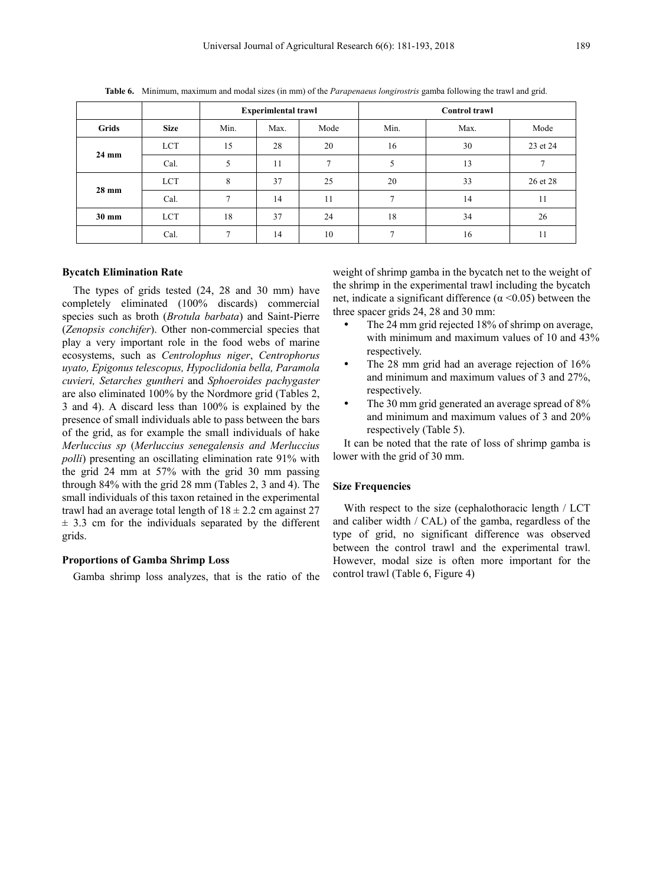|                 |             | <b>Experimlental trawl</b> |      | <b>Control trawl</b> |      |      |          |
|-----------------|-------------|----------------------------|------|----------------------|------|------|----------|
| Grids           | <b>Size</b> | Min.                       | Max. | Mode                 | Min. | Max. | Mode     |
|                 | <b>LCT</b>  | 15                         | 28   | 20                   | 16   | 30   | 23 et 24 |
| 24 mm           | Cal.        | 5                          | 11   | $\overline{ }$       |      | 13   | 7        |
| $28 \text{ mm}$ | <b>LCT</b>  | 8                          | 37   | 25                   | 20   | 33   | 26 et 28 |
|                 | Cal.        | $\mathcal{I}$              | 14   | 11                   | σ    | 14   | 11       |
| $30 \text{ mm}$ | <b>LCT</b>  | 18                         | 37   | 24                   | 18   | 34   | 26       |
|                 | Cal.        | $\mathcal{I}$              | 14   | 10                   |      | 16   | 11       |

**Table 6.** Minimum, maximum and modal sizes (in mm) of the *Parapenaeus longirostris* gamba following the trawl and grid.

#### **Bycatch Elimination Rate**

The types of grids tested (24, 28 and 30 mm) have completely eliminated (100% discards) commercial species such as broth (*Brotula barbata*) and Saint-Pierre (*Zenopsis conchifer*). Other non-commercial species that play a very important role in the food webs of marine ecosystems, such as *Centrolophus niger*, *Centrophorus uyato, Epigonus telescopus, Hypoclidonia bella, Paramola cuvieri, Setarches guntheri* and *Sphoeroides pachygaster*  are also eliminated 100% by the Nordmore grid (Tables 2, 3 and 4). A discard less than 100% is explained by the presence of small individuals able to pass between the bars of the grid, as for example the small individuals of hake *Merluccius sp* (*Merluccius senegalensis and Merluccius polli*) presenting an oscillating elimination rate 91% with the grid 24 mm at 57% with the grid 30 mm passing through 84% with the grid 28 mm (Tables 2, 3 and 4). The small individuals of this taxon retained in the experimental trawl had an average total length of  $18 \pm 2.2$  cm against 27  $\pm$  3.3 cm for the individuals separated by the different grids.

#### **Proportions of Gamba Shrimp Loss**

Gamba shrimp loss analyzes, that is the ratio of the

weight of shrimp gamba in the bycatch net to the weight of the shrimp in the experimental trawl including the bycatch net, indicate a significant difference ( $\alpha$  <0.05) between the three spacer grids 24, 28 and 30 mm:

- The 24 mm grid rejected 18% of shrimp on average, with minimum and maximum values of 10 and 43% respectively.
- The 28 mm grid had an average rejection of 16% and minimum and maximum values of 3 and 27%, respectively.
- The 30 mm grid generated an average spread of 8% and minimum and maximum values of 3 and 20% respectively (Table 5).

It can be noted that the rate of loss of shrimp gamba is lower with the grid of 30 mm.

#### **Size Frequencies**

With respect to the size (cephalothoracic length / LCT and caliber width / CAL) of the gamba, regardless of the type of grid, no significant difference was observed between the control trawl and the experimental trawl. However, modal size is often more important for the control trawl (Table 6, Figure 4)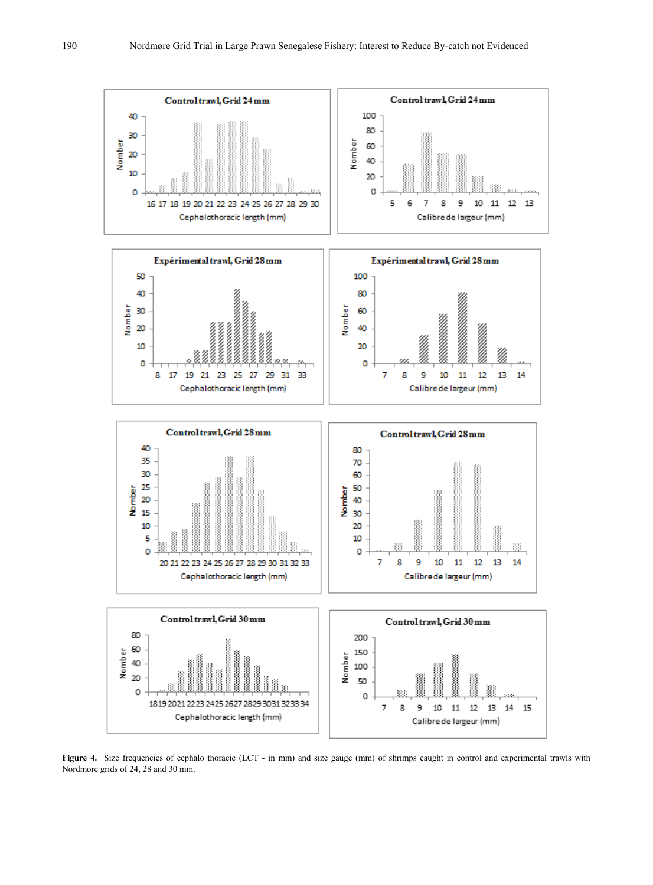

Figure 4. Size frequencies of cephalo thoracic (LCT - in mm) and size gauge (mm) of shrimps caught in control and experimental trawls with Nordmore grids of 24, 28 and 30 mm.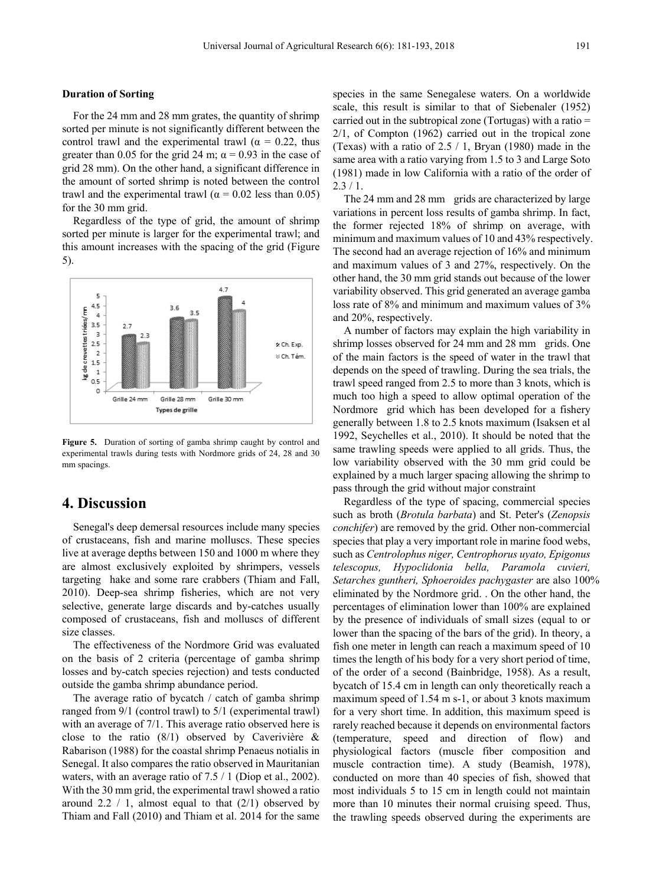#### **Duration of Sorting**

For the 24 mm and 28 mm grates, the quantity of shrimp sorted per minute is not significantly different between the control trawl and the experimental trawl ( $\alpha = 0.22$ , thus greater than 0.05 for the grid 24 m;  $\alpha$  = 0.93 in the case of grid 28 mm). On the other hand, a significant difference in the amount of sorted shrimp is noted between the control trawl and the experimental trawl ( $\alpha$  = 0.02 less than 0.05) for the 30 mm grid.

Regardless of the type of grid, the amount of shrimp sorted per minute is larger for the experimental trawl; and this amount increases with the spacing of the grid (Figure 5).



**Figure 5.** Duration of sorting of gamba shrimp caught by control and experimental trawls during tests with Nordmore grids of 24, 28 and 30 mm spacings.

### **4. Discussion**

Senegal's deep demersal resources include many species of crustaceans, fish and marine molluscs. These species live at average depths between 150 and 1000 m where they are almost exclusively exploited by shrimpers, vessels targeting hake and some rare crabbers (Thiam and Fall, 2010). Deep-sea shrimp fisheries, which are not very selective, generate large discards and by-catches usually composed of crustaceans, fish and molluscs of different size classes.

The effectiveness of the Nordmore Grid was evaluated on the basis of 2 criteria (percentage of gamba shrimp losses and by-catch species rejection) and tests conducted outside the gamba shrimp abundance period.

The average ratio of bycatch / catch of gamba shrimp ranged from 9/1 (control trawl) to 5/1 (experimental trawl) with an average of 7/1. This average ratio observed here is close to the ratio  $(8/1)$  observed by Caverivière & Rabarison (1988) for the coastal shrimp Penaeus notialis in Senegal. It also compares the ratio observed in Mauritanian waters, with an average ratio of 7.5 / 1 (Diop et al., 2002). With the 30 mm grid, the experimental trawl showed a ratio around 2.2  $\div$  1, almost equal to that (2/1) observed by Thiam and Fall (2010) and Thiam et al. 2014 for the same

species in the same Senegalese waters. On a worldwide scale, this result is similar to that of Siebenaler (1952) carried out in the subtropical zone (Tortugas) with a ratio = 2/1, of Compton (1962) carried out in the tropical zone (Texas) with a ratio of 2.5 / 1, Bryan (1980) made in the same area with a ratio varying from 1.5 to 3 and Large Soto (1981) made in low California with a ratio of the order of  $2.3/1.$ 

The 24 mm and 28 mm grids are characterized by large variations in percent loss results of gamba shrimp. In fact, the former rejected 18% of shrimp on average, with minimum and maximum values of 10 and 43% respectively. The second had an average rejection of 16% and minimum and maximum values of 3 and 27%, respectively. On the other hand, the 30 mm grid stands out because of the lower variability observed. This grid generated an average gamba loss rate of 8% and minimum and maximum values of 3% and 20%, respectively.

A number of factors may explain the high variability in shrimp losses observed for 24 mm and 28 mm grids. One of the main factors is the speed of water in the trawl that depends on the speed of trawling. During the sea trials, the trawl speed ranged from 2.5 to more than 3 knots, which is much too high a speed to allow optimal operation of the Nordmore grid which has been developed for a fishery generally between 1.8 to 2.5 knots maximum (Isaksen et al 1992, Seychelles et al., 2010). It should be noted that the same trawling speeds were applied to all grids. Thus, the low variability observed with the 30 mm grid could be explained by a much larger spacing allowing the shrimp to pass through the grid without major constraint

Regardless of the type of spacing, commercial species such as broth (*Brotula barbata*) and St. Peter's (*Zenopsis conchifer*) are removed by the grid. Other non-commercial species that play a very important role in marine food webs, such as *Centrolophus niger, Centrophorus uyato, Epigonus telescopus, Hypoclidonia bella, Paramola cuvieri, Setarches guntheri, Sphoeroides pachygaster* are also 100% eliminated by the Nordmore grid. . On the other hand, the percentages of elimination lower than 100% are explained by the presence of individuals of small sizes (equal to or lower than the spacing of the bars of the grid). In theory, a fish one meter in length can reach a maximum speed of 10 times the length of his body for a very short period of time, of the order of a second (Bainbridge, 1958). As a result, bycatch of 15.4 cm in length can only theoretically reach a maximum speed of 1.54 m s-1, or about 3 knots maximum for a very short time. In addition, this maximum speed is rarely reached because it depends on environmental factors (temperature, speed and direction of flow) and physiological factors (muscle fiber composition and muscle contraction time). A study (Beamish, 1978), conducted on more than 40 species of fish, showed that most individuals 5 to 15 cm in length could not maintain more than 10 minutes their normal cruising speed. Thus, the trawling speeds observed during the experiments are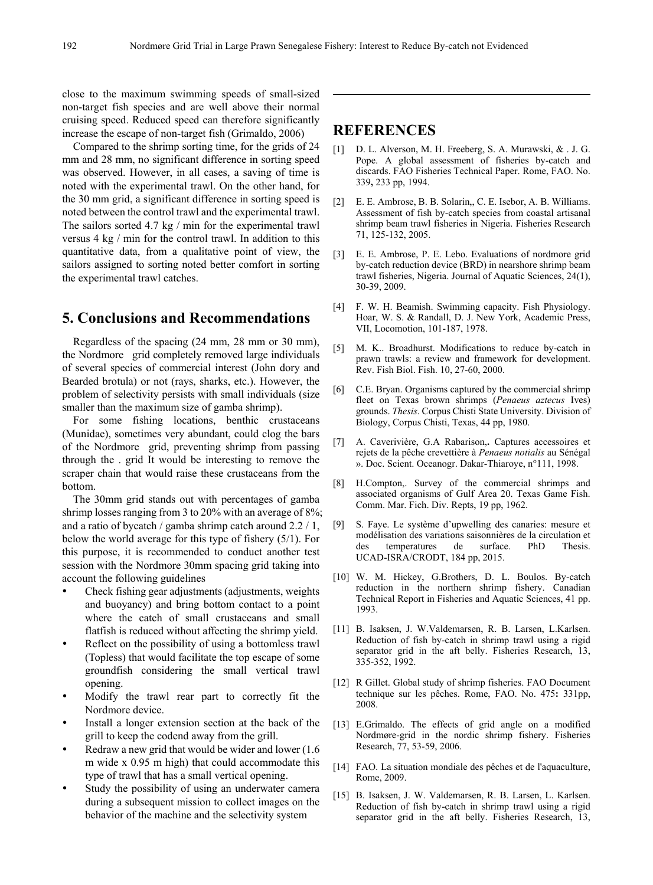close to the maximum swimming speeds of small-sized non-target fish species and are well above their normal cruising speed. Reduced speed can therefore significantly increase the escape of non-target fish (Grimaldo, 2006)

Compared to the shrimp sorting time, for the grids of 24 mm and 28 mm, no significant difference in sorting speed was observed. However, in all cases, a saving of time is noted with the experimental trawl. On the other hand, for the 30 mm grid, a significant difference in sorting speed is noted between the control trawl and the experimental trawl. The sailors sorted 4.7 kg / min for the experimental trawl versus 4 kg / min for the control trawl. In addition to this quantitative data, from a qualitative point of view, the sailors assigned to sorting noted better comfort in sorting the experimental trawl catches.

# **5. Conclusions and Recommendations**

Regardless of the spacing (24 mm, 28 mm or 30 mm), the Nordmore grid completely removed large individuals of several species of commercial interest (John dory and Bearded brotula) or not (rays, sharks, etc.). However, the problem of selectivity persists with small individuals (size smaller than the maximum size of gamba shrimp).

For some fishing locations, benthic crustaceans (Munidae), sometimes very abundant, could clog the bars of the Nordmore grid, preventing shrimp from passing through the . grid It would be interesting to remove the scraper chain that would raise these crustaceans from the bottom.

The 30mm grid stands out with percentages of gamba shrimp losses ranging from 3 to 20% with an average of 8%; and a ratio of bycatch / gamba shrimp catch around 2.2 / 1, below the world average for this type of fishery (5/1). For this purpose, it is recommended to conduct another test session with the Nordmore 30mm spacing grid taking into account the following guidelines

- Check fishing gear adjustments (adjustments, weights and buoyancy) and bring bottom contact to a point where the catch of small crustaceans and small flatfish is reduced without affecting the shrimp yield.
- Reflect on the possibility of using a bottomless trawl (Topless) that would facilitate the top escape of some groundfish considering the small vertical trawl opening.
- Modify the trawl rear part to correctly fit the Nordmore device.
- Install a longer extension section at the back of the grill to keep the codend away from the grill.
- Redraw a new grid that would be wider and lower (1.6 m wide x 0.95 m high) that could accommodate this type of trawl that has a small vertical opening.
- Study the possibility of using an underwater camera during a subsequent mission to collect images on the behavior of the machine and the selectivity system

# **REFERENCES**

- [1] D. L. Alverson, M. H. Freeberg, S. A. Murawski, & . J. G. Pope. A global assessment of fisheries by-catch and discards. FAO Fisheries Technical Paper. Rome, FAO. No. 339**,** 233 pp, 1994.
- [2] E. E. Ambrose, B. B. Solarin,, C. E. Isebor, A. B. Williams. Assessment of fish by-catch species from coastal artisanal shrimp beam trawl fisheries in Nigeria. Fisheries Research 71, 125-132, 2005.
- [3] E. E. Ambrose, P. E. Lebo. Evaluations of nordmore grid by-catch reduction device (BRD) in nearshore shrimp beam trawl fisheries, Nigeria. Journal of Aquatic Sciences, 24(1), 30-39, 2009.
- [4] F. W. H. Beamish. Swimming capacity. Fish Physiology. Hoar, W. S. & Randall, D. J. New York, Academic Press, VII, Locomotion, 101-187, 1978.
- [5] M. K.. Broadhurst. Modifications to reduce by-catch in prawn trawls: a review and framework for development. Rev. Fish Biol. Fish. 10, 27-60, 2000.
- [6] C.E. Bryan. Organisms captured by the commercial shrimp fleet on Texas brown shrimps (*Penaeus aztecus* Ives) grounds. *Thesis*. Corpus Chisti State University. Division of Biology, Corpus Chisti, Texas, 44 pp, 1980.
- [7] A. Caverivière, G.A Rabarison,**.** Captures accessoires et rejets de la pêche crevettière à *Penaeus notialis* au Sénégal ». Doc. Scient. Oceanogr. Dakar-Thiaroye, n°111, 1998.
- [8] H.Compton,. Survey of the commercial shrimps and associated organisms of Gulf Area 20. Texas Game Fish. Comm. Mar. Fich. Div. Repts, 19 pp, 1962.
- [9] S. Faye. Le système d'upwelling des canaries: mesure et modélisation des variations saisonnières de la circulation et<br>des temperatures de surface. PhD Thesis. des temperatures de surface. UCAD-ISRA/CRODT, 184 pp, 2015.
- [10] W. M. Hickey, G.Brothers, D. L. Boulos. By-catch reduction in the northern shrimp fishery. Canadian Technical Report in Fisheries and Aquatic Sciences, 41 pp. 1993.
- [11] B. Isaksen, J. W.Valdemarsen, R. B. Larsen, L.Karlsen. Reduction of fish by-catch in shrimp trawl using a rigid separator grid in the aft belly. Fisheries Research, 13, 335-352, 1992.
- [12] R Gillet. Global study of shrimp fisheries. FAO Document technique sur les pêches. Rome, FAO. No. 475**:** 331pp, 2008.
- [13] E.Grimaldo. The effects of grid angle on a modified Nordmøre-grid in the nordic shrimp fishery. Fisheries Research, 77, 53-59, 2006.
- [14] FAO. La situation mondiale des pêches et de l'aquaculture, Rome, 2009.
- [15] B. Isaksen, J. W. Valdemarsen, R. B. Larsen, L. Karlsen. Reduction of fish by-catch in shrimp trawl using a rigid separator grid in the aft belly. Fisheries Research, 13,